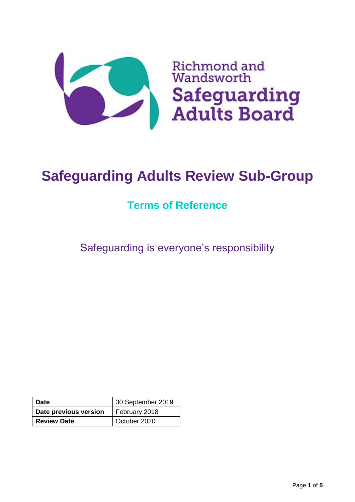

# **Safeguarding Adults Review Sub-Group**

# **Terms of Reference**

Safeguarding is everyone's responsibility

| ∣ Date                | 30 September 2019 |  |
|-----------------------|-------------------|--|
| Date previous version | February 2018     |  |
| <b>Review Date</b>    | October 2020      |  |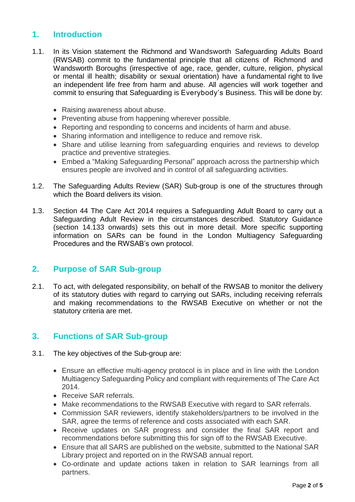### **1. Introduction**

- 1.1. In its Vision statement the Richmond and Wandsworth Safeguarding Adults Board (RWSAB) commit to the fundamental principle that all citizens of Richmond and Wandsworth Boroughs (irrespective of age, race, gender, culture, religion, physical or mental ill health; disability or sexual orientation) have a fundamental right to live an independent life free from harm and abuse. All agencies will work together and commit to ensuring that Safeguarding is Everybody's Business. This will be done by:
	- Raising awareness about abuse.
	- Preventing abuse from happening wherever possible.
	- Reporting and responding to concerns and incidents of harm and abuse.
	- Sharing information and intelligence to reduce and remove risk.
	- Share and utilise learning from safeguarding enquiries and reviews to develop practice and preventive strategies.
	- Embed a "Making Safeguarding Personal" approach across the partnership which ensures people are involved and in control of all safeguarding activities.
- 1.2. The Safeguarding Adults Review (SAR) Sub-group is one of the structures through which the Board delivers its vision.
- 1.3. Section 44 The Care Act 2014 requires a Safeguarding Adult Board to carry out a Safeguarding Adult Review in the circumstances described. Statutory Guidance (section 14.133 onwards) sets this out in more detail. More specific supporting information on SARs can be found in the London Multiagency Safeguarding Procedures and the RWSAB's own protocol.

#### **2. Purpose of SAR Sub-group**

2.1. To act, with delegated responsibility, on behalf of the RWSAB to monitor the delivery of its statutory duties with regard to carrying out SARs, including receiving referrals and making recommendations to the RWSAB Executive on whether or not the statutory criteria are met.

# **3. Functions of SAR Sub-group**

- 3.1. The key objectives of the Sub-group are:
	- Ensure an effective multi-agency protocol is in place and in line with the London Multiagency Safeguarding Policy and compliant with requirements of The Care Act 2014.
	- Receive SAR referrals.
	- Make recommendations to the RWSAB Executive with regard to SAR referrals.
	- Commission SAR reviewers, identify stakeholders/partners to be involved in the SAR, agree the terms of reference and costs associated with each SAR.
	- Receive updates on SAR progress and consider the final SAR report and recommendations before submitting this for sign off to the RWSAB Executive.
	- Ensure that all SARS are published on the website, submitted to the National SAR Library project and reported on in the RWSAB annual report.
	- Co-ordinate and update actions taken in relation to SAR learnings from all partners.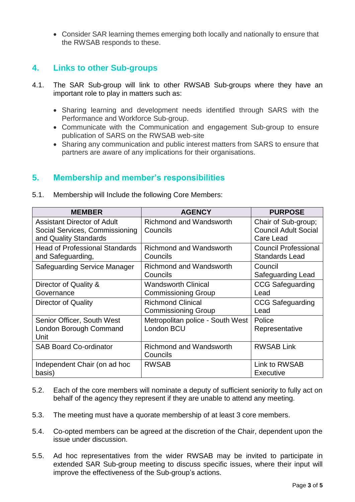• Consider SAR learning themes emerging both locally and nationally to ensure that the RWSAB responds to these.

# **4. Links to other Sub-groups**

- 4.1. The SAR Sub-group will link to other RWSAB Sub-groups where they have an important role to play in matters such as:
	- Sharing learning and development needs identified through SARS with the Performance and Workforce Sub-group.
	- Communicate with the Communication and engagement Sub-group to ensure publication of SARS on the RWSAB web-site
	- Sharing any communication and public interest matters from SARS to ensure that partners are aware of any implications for their organisations.

#### **5. Membership and member's responsibilities**

| <b>MEMBER</b>                                                                                 | <b>AGENCY</b>                                            | <b>PURPOSE</b>                                                  |
|-----------------------------------------------------------------------------------------------|----------------------------------------------------------|-----------------------------------------------------------------|
| <b>Assistant Director of Adult</b><br>Social Services, Commissioning<br>and Quality Standards | <b>Richmond and Wandsworth</b><br>Councils               | Chair of Sub-group;<br><b>Council Adult Social</b><br>Care Lead |
| <b>Head of Professional Standards</b><br>and Safeguarding,                                    | <b>Richmond and Wandsworth</b><br>Councils               | <b>Council Professional</b><br><b>Standards Lead</b>            |
| <b>Safeguarding Service Manager</b>                                                           | <b>Richmond and Wandsworth</b><br>Councils               | Council<br>Safeguarding Lead                                    |
| Director of Quality &<br>Governance                                                           | <b>Wandsworth Clinical</b><br><b>Commissioning Group</b> | <b>CCG Safeguarding</b><br>Lead                                 |
| Director of Quality                                                                           | <b>Richmond Clinical</b><br><b>Commissioning Group</b>   | <b>CCG Safeguarding</b><br>Lead                                 |
| Senior Officer, South West<br>London Borough Command<br>Unit                                  | Metropolitan police - South West<br>London BCU           | Police<br>Representative                                        |
| <b>SAB Board Co-ordinator</b>                                                                 | Richmond and Wandsworth<br>Councils                      | <b>RWSAB Link</b>                                               |
| Independent Chair (on ad hoc<br>basis)                                                        | <b>RWSAB</b>                                             | Link to RWSAB<br><b>Executive</b>                               |

5.1. Membership will Include the following Core Members:

- 5.2. Each of the core members will nominate a deputy of sufficient seniority to fully act on behalf of the agency they represent if they are unable to attend any meeting.
- 5.3. The meeting must have a quorate membership of at least 3 core members.
- 5.4. Co-opted members can be agreed at the discretion of the Chair, dependent upon the issue under discussion.
- 5.5. Ad hoc representatives from the wider RWSAB may be invited to participate in extended SAR Sub-group meeting to discuss specific issues, where their input will improve the effectiveness of the Sub-group's actions.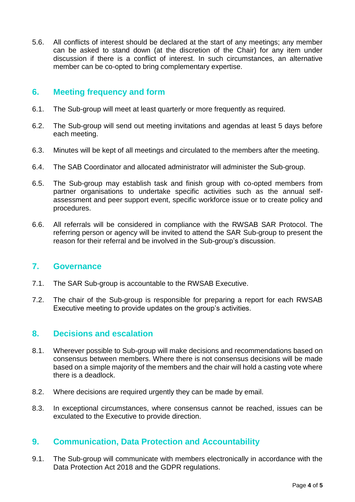5.6. All conflicts of interest should be declared at the start of any meetings; any member can be asked to stand down (at the discretion of the Chair) for any item under discussion if there is a conflict of interest. In such circumstances, an alternative member can be co-opted to bring complementary expertise.

#### **6. Meeting frequency and form**

- 6.1. The Sub-group will meet at least quarterly or more frequently as required.
- 6.2. The Sub-group will send out meeting invitations and agendas at least 5 days before each meeting.
- 6.3. Minutes will be kept of all meetings and circulated to the members after the meeting.
- 6.4. The SAB Coordinator and allocated administrator will administer the Sub-group.
- 6.5. The Sub-group may establish task and finish group with co-opted members from partner organisations to undertake specific activities such as the annual selfassessment and peer support event, specific workforce issue or to create policy and procedures.
- 6.6. All referrals will be considered in compliance with the RWSAB SAR Protocol. The referring person or agency will be invited to attend the SAR Sub-group to present the reason for their referral and be involved in the Sub-group's discussion.

#### **7. Governance**

- 7.1. The SAR Sub-group is accountable to the RWSAB Executive.
- 7.2. The chair of the Sub-group is responsible for preparing a report for each RWSAB Executive meeting to provide updates on the group's activities.

#### **8. Decisions and escalation**

- 8.1. Wherever possible to Sub-group will make decisions and recommendations based on consensus between members. Where there is not consensus decisions will be made based on a simple majority of the members and the chair will hold a casting vote where there is a deadlock.
- 8.2. Where decisions are required urgently they can be made by email.
- 8.3. In exceptional circumstances, where consensus cannot be reached, issues can be exculated to the Executive to provide direction.

#### **9. Communication, Data Protection and Accountability**

9.1. The Sub-group will communicate with members electronically in accordance with the Data Protection Act 2018 and the GDPR regulations.